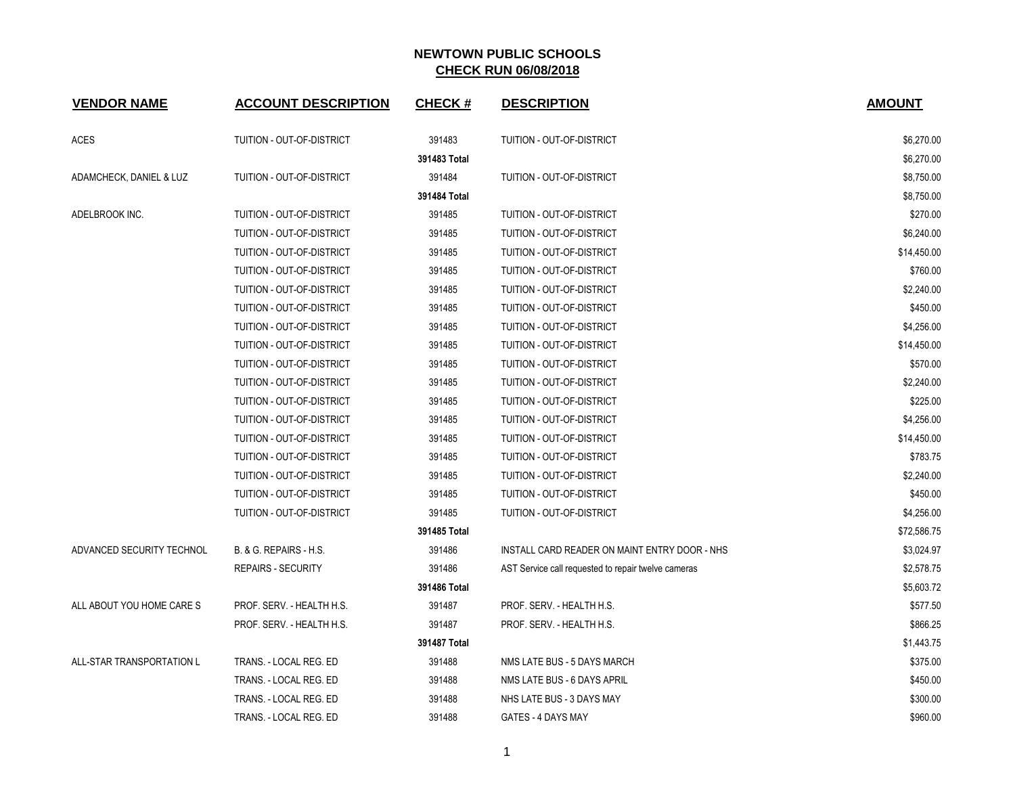| <b>VENDOR NAME</b>        | <b>ACCOUNT DESCRIPTION</b>       | <b>CHECK#</b> | <b>DESCRIPTION</b>                                  | <b>AMOUNT</b> |
|---------------------------|----------------------------------|---------------|-----------------------------------------------------|---------------|
| <b>ACES</b>               | TUITION - OUT-OF-DISTRICT        | 391483        | TUITION - OUT-OF-DISTRICT                           | \$6,270.00    |
|                           |                                  | 391483 Total  |                                                     | \$6,270.00    |
| ADAMCHECK, DANIEL & LUZ   | TUITION - OUT-OF-DISTRICT        | 391484        | TUITION - OUT-OF-DISTRICT                           | \$8,750.00    |
|                           |                                  | 391484 Total  |                                                     | \$8,750.00    |
| ADELBROOK INC.            | TUITION - OUT-OF-DISTRICT        | 391485        | TUITION - OUT-OF-DISTRICT                           | \$270.00      |
|                           | <b>TUITION - OUT-OF-DISTRICT</b> | 391485        | TUITION - OUT-OF-DISTRICT                           | \$6,240.00    |
|                           | TUITION - OUT-OF-DISTRICT        | 391485        | TUITION - OUT-OF-DISTRICT                           | \$14,450.00   |
|                           | TUITION - OUT-OF-DISTRICT        | 391485        | TUITION - OUT-OF-DISTRICT                           | \$760.00      |
|                           | TUITION - OUT-OF-DISTRICT        | 391485        | TUITION - OUT-OF-DISTRICT                           | \$2,240.00    |
|                           | TUITION - OUT-OF-DISTRICT        | 391485        | TUITION - OUT-OF-DISTRICT                           | \$450.00      |
|                           | TUITION - OUT-OF-DISTRICT        | 391485        | TUITION - OUT-OF-DISTRICT                           | \$4,256.00    |
|                           | TUITION - OUT-OF-DISTRICT        | 391485        | TUITION - OUT-OF-DISTRICT                           | \$14,450.00   |
|                           | TUITION - OUT-OF-DISTRICT        | 391485        | TUITION - OUT-OF-DISTRICT                           | \$570.00      |
|                           | TUITION - OUT-OF-DISTRICT        | 391485        | TUITION - OUT-OF-DISTRICT                           | \$2,240.00    |
|                           | TUITION - OUT-OF-DISTRICT        | 391485        | TUITION - OUT-OF-DISTRICT                           | \$225.00      |
|                           | TUITION - OUT-OF-DISTRICT        | 391485        | TUITION - OUT-OF-DISTRICT                           | \$4,256.00    |
|                           | TUITION - OUT-OF-DISTRICT        | 391485        | TUITION - OUT-OF-DISTRICT                           | \$14,450.00   |
|                           | TUITION - OUT-OF-DISTRICT        | 391485        | TUITION - OUT-OF-DISTRICT                           | \$783.75      |
|                           | TUITION - OUT-OF-DISTRICT        | 391485        | TUITION - OUT-OF-DISTRICT                           | \$2,240.00    |
|                           | TUITION - OUT-OF-DISTRICT        | 391485        | TUITION - OUT-OF-DISTRICT                           | \$450.00      |
|                           | TUITION - OUT-OF-DISTRICT        | 391485        | TUITION - OUT-OF-DISTRICT                           | \$4,256.00    |
|                           |                                  | 391485 Total  |                                                     | \$72,586.75   |
| ADVANCED SECURITY TECHNOL | B. & G. REPAIRS - H.S.           | 391486        | INSTALL CARD READER ON MAINT ENTRY DOOR - NHS       | \$3,024.97    |
|                           | <b>REPAIRS - SECURITY</b>        | 391486        | AST Service call requested to repair twelve cameras | \$2,578.75    |
|                           |                                  | 391486 Total  |                                                     | \$5,603.72    |
| ALL ABOUT YOU HOME CARE S | PROF. SERV. - HEALTH H.S.        | 391487        | PROF. SERV. - HEALTH H.S.                           | \$577.50      |
|                           | PROF. SERV. - HEALTH H.S.        | 391487        | PROF. SERV. - HEALTH H.S.                           | \$866.25      |
|                           |                                  | 391487 Total  |                                                     | \$1,443.75    |
| ALL-STAR TRANSPORTATION L | TRANS. - LOCAL REG. ED           | 391488        | NMS LATE BUS - 5 DAYS MARCH                         | \$375.00      |
|                           | TRANS. - LOCAL REG. ED           | 391488        | NMS LATE BUS - 6 DAYS APRIL                         | \$450.00      |
|                           | TRANS. - LOCAL REG. ED           | 391488        | NHS LATE BUS - 3 DAYS MAY                           | \$300.00      |
|                           | TRANS. - LOCAL REG. ED           | 391488        | GATES - 4 DAYS MAY                                  | \$960.00      |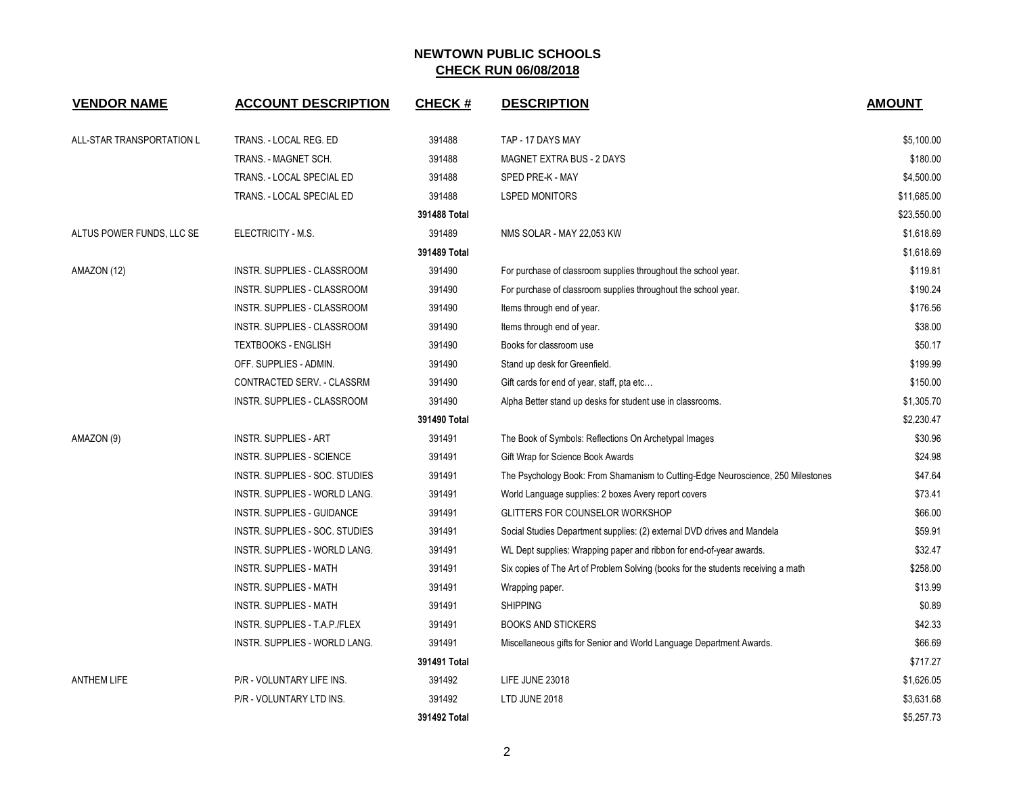| <b>VENDOR NAME</b>        | <b>ACCOUNT DESCRIPTION</b>     | <b>CHECK#</b> | <b>DESCRIPTION</b>                                                                | <b>AMOUNT</b> |
|---------------------------|--------------------------------|---------------|-----------------------------------------------------------------------------------|---------------|
| ALL-STAR TRANSPORTATION L | TRANS. - LOCAL REG. ED         | 391488        | TAP - 17 DAYS MAY                                                                 | \$5,100.00    |
|                           | TRANS. - MAGNET SCH.           | 391488        | MAGNET EXTRA BUS - 2 DAYS                                                         | \$180.00      |
|                           | TRANS. - LOCAL SPECIAL ED      | 391488        | SPED PRE-K - MAY                                                                  | \$4,500.00    |
|                           | TRANS. - LOCAL SPECIAL ED      | 391488        | <b>LSPED MONITORS</b>                                                             | \$11,685.00   |
|                           |                                | 391488 Total  |                                                                                   | \$23,550.00   |
| ALTUS POWER FUNDS, LLC SE | ELECTRICITY - M.S.             | 391489        | NMS SOLAR - MAY 22,053 KW                                                         | \$1,618.69    |
|                           |                                | 391489 Total  |                                                                                   | \$1,618.69    |
| AMAZON (12)               | INSTR. SUPPLIES - CLASSROOM    | 391490        | For purchase of classroom supplies throughout the school year.                    | \$119.81      |
|                           | INSTR. SUPPLIES - CLASSROOM    | 391490        | For purchase of classroom supplies throughout the school year.                    | \$190.24      |
|                           | INSTR. SUPPLIES - CLASSROOM    | 391490        | Items through end of year.                                                        | \$176.56      |
|                           | INSTR. SUPPLIES - CLASSROOM    | 391490        | Items through end of year.                                                        | \$38.00       |
|                           | <b>TEXTBOOKS - ENGLISH</b>     | 391490        | Books for classroom use                                                           | \$50.17       |
|                           | OFF. SUPPLIES - ADMIN.         | 391490        | Stand up desk for Greenfield.                                                     | \$199.99      |
|                           | CONTRACTED SERV. - CLASSRM     | 391490        | Gift cards for end of year, staff, pta etc                                        | \$150.00      |
|                           | INSTR. SUPPLIES - CLASSROOM    | 391490        | Alpha Better stand up desks for student use in classrooms.                        | \$1.305.70    |
|                           |                                | 391490 Total  |                                                                                   | \$2,230.47    |
| AMAZON (9)                | INSTR. SUPPLIES - ART          | 391491        | The Book of Symbols: Reflections On Archetypal Images                             | \$30.96       |
|                           | INSTR. SUPPLIES - SCIENCE      | 391491        | Gift Wrap for Science Book Awards                                                 | \$24.98       |
|                           | INSTR. SUPPLIES - SOC. STUDIES | 391491        | The Psychology Book: From Shamanism to Cutting-Edge Neuroscience, 250 Milestones  | \$47.64       |
|                           | INSTR. SUPPLIES - WORLD LANG.  | 391491        | World Language supplies: 2 boxes Avery report covers                              | \$73.41       |
|                           | INSTR. SUPPLIES - GUIDANCE     | 391491        | GLITTERS FOR COUNSELOR WORKSHOP                                                   | \$66.00       |
|                           | INSTR. SUPPLIES - SOC. STUDIES | 391491        | Social Studies Department supplies: (2) external DVD drives and Mandela           | \$59.91       |
|                           | INSTR. SUPPLIES - WORLD LANG.  | 391491        | WL Dept supplies: Wrapping paper and ribbon for end-of-year awards.               | \$32.47       |
|                           | <b>INSTR. SUPPLIES - MATH</b>  | 391491        | Six copies of The Art of Problem Solving (books for the students receiving a math | \$258.00      |
|                           | <b>INSTR. SUPPLIES - MATH</b>  | 391491        | Wrapping paper.                                                                   | \$13.99       |
|                           | INSTR. SUPPLIES - MATH         | 391491        | <b>SHIPPING</b>                                                                   | \$0.89        |
|                           | INSTR. SUPPLIES - T.A.P./FLEX  | 391491        | <b>BOOKS AND STICKERS</b>                                                         | \$42.33       |
|                           | INSTR. SUPPLIES - WORLD LANG.  | 391491        | Miscellaneous gifts for Senior and World Language Department Awards.              | \$66.69       |
|                           |                                | 391491 Total  |                                                                                   | \$717.27      |
| <b>ANTHEM LIFE</b>        | P/R - VOLUNTARY LIFE INS.      | 391492        | LIFE JUNE 23018                                                                   | \$1,626.05    |
|                           | P/R - VOLUNTARY LTD INS.       | 391492        | LTD JUNE 2018                                                                     | \$3,631.68    |
|                           |                                | 391492 Total  |                                                                                   | \$5,257.73    |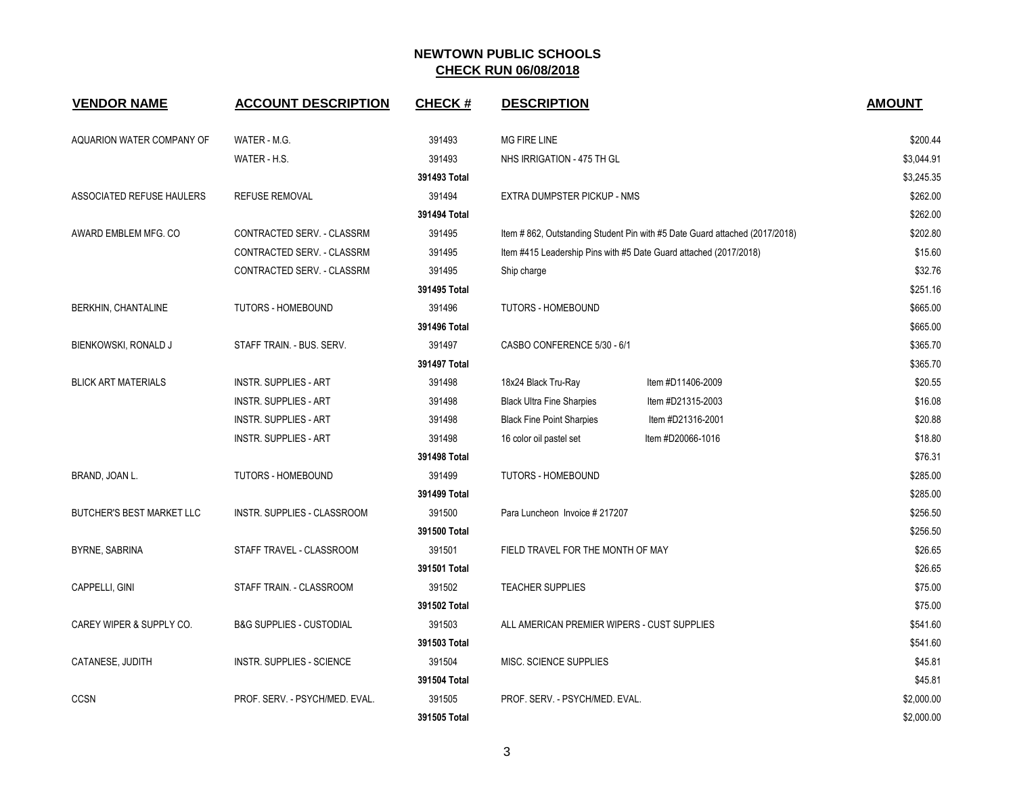| <b>VENDOR NAME</b>               | <b>ACCOUNT DESCRIPTION</b>          | <b>CHECK#</b> | <b>DESCRIPTION</b>                          |                                                                            | <b>AMOUNT</b> |
|----------------------------------|-------------------------------------|---------------|---------------------------------------------|----------------------------------------------------------------------------|---------------|
| AQUARION WATER COMPANY OF        | WATER - M.G.                        | 391493        | <b>MG FIRE LINE</b>                         |                                                                            | \$200.44      |
|                                  | WATER - H.S.                        | 391493        | NHS IRRIGATION - 475 TH GL                  |                                                                            | \$3,044.91    |
|                                  |                                     | 391493 Total  |                                             |                                                                            | \$3,245.35    |
| ASSOCIATED REFUSE HAULERS        | <b>REFUSE REMOVAL</b>               | 391494        | EXTRA DUMPSTER PICKUP - NMS                 |                                                                            | \$262.00      |
|                                  |                                     | 391494 Total  |                                             |                                                                            | \$262.00      |
| AWARD EMBLEM MFG. CO             | CONTRACTED SERV. - CLASSRM          | 391495        |                                             | Item #862, Outstanding Student Pin with #5 Date Guard attached (2017/2018) | \$202.80      |
|                                  | CONTRACTED SERV. - CLASSRM          | 391495        |                                             | Item #415 Leadership Pins with #5 Date Guard attached (2017/2018)          | \$15.60       |
|                                  | CONTRACTED SERV. - CLASSRM          | 391495        | Ship charge                                 |                                                                            | \$32.76       |
|                                  |                                     | 391495 Total  |                                             |                                                                            | \$251.16      |
| BERKHIN, CHANTALINE              | TUTORS - HOMEBOUND                  | 391496        | <b>TUTORS - HOMEBOUND</b>                   |                                                                            | \$665.00      |
|                                  |                                     | 391496 Total  |                                             |                                                                            | \$665.00      |
| BIENKOWSKI, RONALD J             | STAFF TRAIN. - BUS. SERV.           | 391497        | CASBO CONFERENCE 5/30 - 6/1                 |                                                                            | \$365.70      |
|                                  |                                     | 391497 Total  |                                             |                                                                            | \$365.70      |
| <b>BLICK ART MATERIALS</b>       | <b>INSTR. SUPPLIES - ART</b>        | 391498        | 18x24 Black Tru-Ray                         | Item #D11406-2009                                                          | \$20.55       |
|                                  | <b>INSTR. SUPPLIES - ART</b>        | 391498        | <b>Black Ultra Fine Sharpies</b>            | Item #D21315-2003                                                          | \$16.08       |
|                                  | <b>INSTR. SUPPLIES - ART</b>        | 391498        | <b>Black Fine Point Sharpies</b>            | Item #D21316-2001                                                          | \$20.88       |
|                                  | <b>INSTR. SUPPLIES - ART</b>        | 391498        | 16 color oil pastel set                     | Item #D20066-1016                                                          | \$18.80       |
|                                  |                                     | 391498 Total  |                                             |                                                                            | \$76.31       |
| BRAND, JOAN L.                   | <b>TUTORS - HOMEBOUND</b>           | 391499        | <b>TUTORS - HOMEBOUND</b>                   |                                                                            | \$285.00      |
|                                  |                                     | 391499 Total  |                                             |                                                                            | \$285.00      |
| <b>BUTCHER'S BEST MARKET LLC</b> | <b>INSTR. SUPPLIES - CLASSROOM</b>  | 391500        | Para Luncheon Invoice # 217207              |                                                                            | \$256.50      |
|                                  |                                     | 391500 Total  |                                             |                                                                            | \$256.50      |
| BYRNE, SABRINA                   | STAFF TRAVEL - CLASSROOM            | 391501        | FIELD TRAVEL FOR THE MONTH OF MAY           |                                                                            | \$26.65       |
|                                  |                                     | 391501 Total  |                                             |                                                                            | \$26.65       |
| CAPPELLI, GINI                   | STAFF TRAIN. - CLASSROOM            | 391502        | <b>TEACHER SUPPLIES</b>                     |                                                                            | \$75.00       |
|                                  |                                     | 391502 Total  |                                             |                                                                            | \$75.00       |
| CAREY WIPER & SUPPLY CO.         | <b>B&amp;G SUPPLIES - CUSTODIAL</b> | 391503        | ALL AMERICAN PREMIER WIPERS - CUST SUPPLIES |                                                                            | \$541.60      |
|                                  |                                     | 391503 Total  |                                             |                                                                            | \$541.60      |
| CATANESE, JUDITH                 | <b>INSTR. SUPPLIES - SCIENCE</b>    | 391504        | MISC. SCIENCE SUPPLIES                      |                                                                            | \$45.81       |
|                                  |                                     | 391504 Total  |                                             |                                                                            | \$45.81       |
| <b>CCSN</b>                      | PROF. SERV. - PSYCH/MED. EVAL.      | 391505        | PROF. SERV. - PSYCH/MED. EVAL.              |                                                                            | \$2,000.00    |
|                                  |                                     | 391505 Total  |                                             |                                                                            | \$2,000.00    |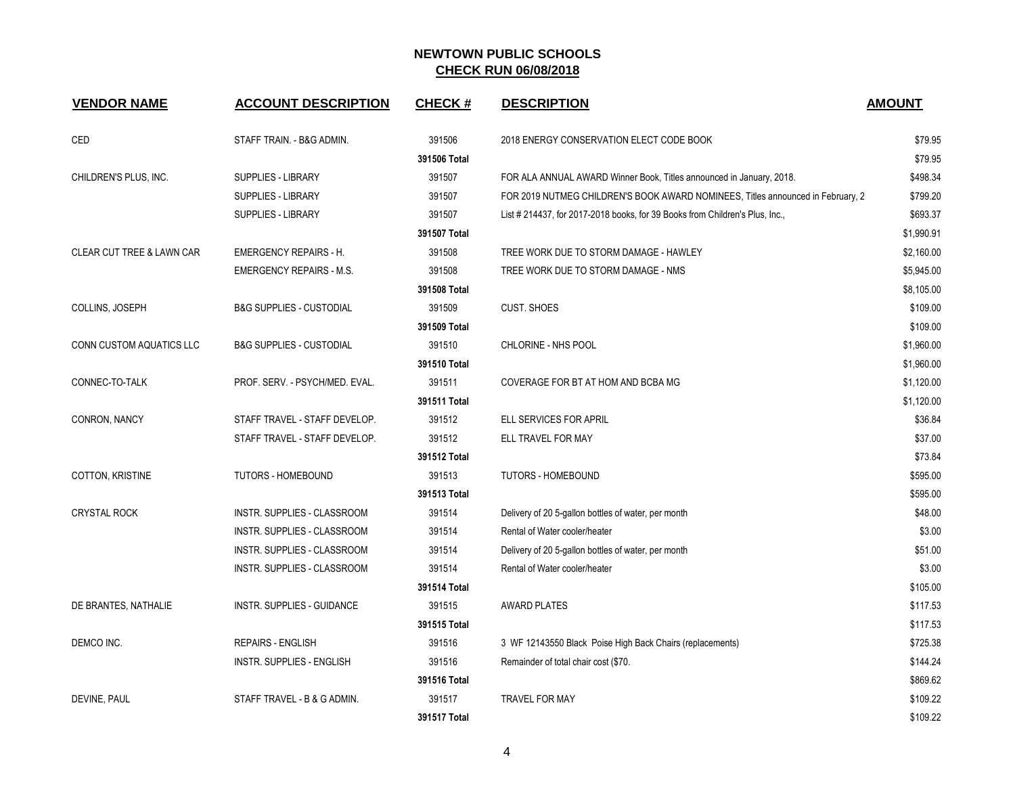| <b>VENDOR NAME</b>                   | <b>ACCOUNT DESCRIPTION</b>          | <b>CHECK#</b> | <b>DESCRIPTION</b>                                                              | <b>AMOUNT</b> |
|--------------------------------------|-------------------------------------|---------------|---------------------------------------------------------------------------------|---------------|
| <b>CED</b>                           | STAFF TRAIN. - B&G ADMIN.           | 391506        | 2018 ENERGY CONSERVATION ELECT CODE BOOK                                        | \$79.95       |
|                                      |                                     | 391506 Total  |                                                                                 | \$79.95       |
| CHILDREN'S PLUS, INC.                | <b>SUPPLIES - LIBRARY</b>           | 391507        | FOR ALA ANNUAL AWARD Winner Book, Titles announced in January, 2018.            | \$498.34      |
|                                      | SUPPLIES - LIBRARY                  | 391507        | FOR 2019 NUTMEG CHILDREN'S BOOK AWARD NOMINEES, Titles announced in February, 2 | \$799.20      |
|                                      | SUPPLIES - LIBRARY                  | 391507        | List # 214437, for 2017-2018 books, for 39 Books from Children's Plus, Inc.,    | \$693.37      |
|                                      |                                     | 391507 Total  |                                                                                 | \$1,990.91    |
| <b>CLEAR CUT TREE &amp; LAWN CAR</b> | <b>EMERGENCY REPAIRS - H.</b>       | 391508        | TREE WORK DUE TO STORM DAMAGE - HAWLEY                                          | \$2,160.00    |
|                                      | <b>EMERGENCY REPAIRS - M.S.</b>     | 391508        | TREE WORK DUE TO STORM DAMAGE - NMS                                             | \$5,945.00    |
|                                      |                                     | 391508 Total  |                                                                                 | \$8,105.00    |
| COLLINS, JOSEPH                      | <b>B&amp;G SUPPLIES - CUSTODIAL</b> | 391509        | <b>CUST. SHOES</b>                                                              | \$109.00      |
|                                      |                                     | 391509 Total  |                                                                                 | \$109.00      |
| CONN CUSTOM AQUATICS LLC             | <b>B&amp;G SUPPLIES - CUSTODIAL</b> | 391510        | CHLORINE - NHS POOL                                                             | \$1,960.00    |
|                                      |                                     | 391510 Total  |                                                                                 | \$1,960.00    |
| CONNEC-TO-TALK                       | PROF. SERV. - PSYCH/MED. EVAL.      | 391511        | COVERAGE FOR BT AT HOM AND BCBA MG                                              | \$1,120.00    |
|                                      |                                     | 391511 Total  |                                                                                 | \$1,120.00    |
| CONRON, NANCY                        | STAFF TRAVEL - STAFF DEVELOP.       | 391512        | ELL SERVICES FOR APRIL                                                          | \$36.84       |
|                                      | STAFF TRAVEL - STAFF DEVELOP.       | 391512        | ELL TRAVEL FOR MAY                                                              | \$37.00       |
|                                      |                                     | 391512 Total  |                                                                                 | \$73.84       |
| COTTON, KRISTINE                     | TUTORS - HOMEBOUND                  | 391513        | <b>TUTORS - HOMEBOUND</b>                                                       | \$595.00      |
|                                      |                                     | 391513 Total  |                                                                                 | \$595.00      |
| <b>CRYSTAL ROCK</b>                  | INSTR. SUPPLIES - CLASSROOM         | 391514        | Delivery of 20 5-gallon bottles of water, per month                             | \$48.00       |
|                                      | INSTR. SUPPLIES - CLASSROOM         | 391514        | Rental of Water cooler/heater                                                   | \$3.00        |
|                                      | INSTR. SUPPLIES - CLASSROOM         | 391514        | Delivery of 20 5-gallon bottles of water, per month                             | \$51.00       |
|                                      | INSTR. SUPPLIES - CLASSROOM         | 391514        | Rental of Water cooler/heater                                                   | \$3.00        |
|                                      |                                     | 391514 Total  |                                                                                 | \$105.00      |
| DE BRANTES, NATHALIE                 | INSTR. SUPPLIES - GUIDANCE          | 391515        | <b>AWARD PLATES</b>                                                             | \$117.53      |
|                                      |                                     | 391515 Total  |                                                                                 | \$117.53      |
| DEMCO INC.                           | <b>REPAIRS - ENGLISH</b>            | 391516        | 3 WF 12143550 Black Poise High Back Chairs (replacements)                       | \$725.38      |
|                                      | <b>INSTR. SUPPLIES - ENGLISH</b>    | 391516        | Remainder of total chair cost (\$70.                                            | \$144.24      |
|                                      |                                     | 391516 Total  |                                                                                 | \$869.62      |
| DEVINE, PAUL                         | STAFF TRAVEL - B & G ADMIN.         | 391517        | TRAVEL FOR MAY                                                                  | \$109.22      |
|                                      |                                     | 391517 Total  |                                                                                 | \$109.22      |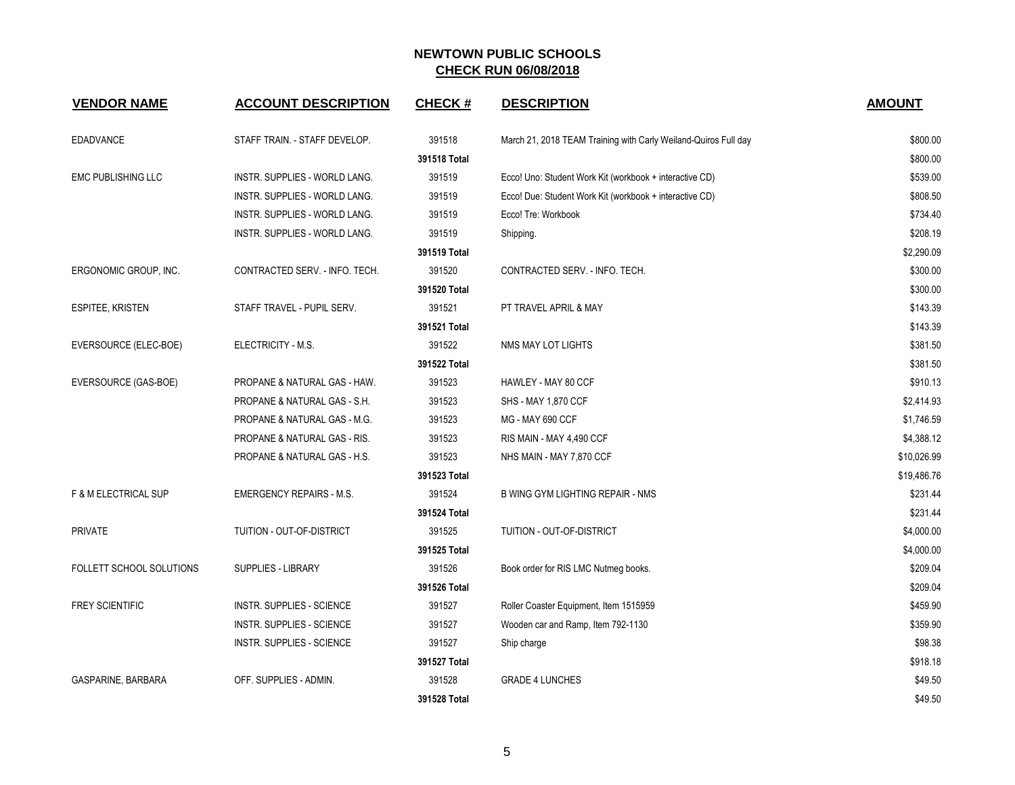| <b>VENDOR NAME</b>              | <b>ACCOUNT DESCRIPTION</b>       | <b>CHECK#</b> | <b>DESCRIPTION</b>                                              | <b>AMOUNT</b> |
|---------------------------------|----------------------------------|---------------|-----------------------------------------------------------------|---------------|
| <b>EDADVANCE</b>                | STAFF TRAIN. - STAFF DEVELOP.    | 391518        | March 21, 2018 TEAM Training with Carly Weiland-Quiros Full day | \$800.00      |
|                                 |                                  | 391518 Total  |                                                                 | \$800.00      |
| <b>EMC PUBLISHING LLC</b>       | INSTR. SUPPLIES - WORLD LANG.    | 391519        | Ecco! Uno: Student Work Kit (workbook + interactive CD)         | \$539.00      |
|                                 | INSTR. SUPPLIES - WORLD LANG.    | 391519        | Ecco! Due: Student Work Kit (workbook + interactive CD)         | \$808.50      |
|                                 | INSTR. SUPPLIES - WORLD LANG.    | 391519        | Ecco! Tre: Workbook                                             | \$734.40      |
|                                 | INSTR. SUPPLIES - WORLD LANG.    | 391519        | Shipping.                                                       | \$208.19      |
|                                 |                                  | 391519 Total  |                                                                 | \$2.290.09    |
| ERGONOMIC GROUP, INC.           | CONTRACTED SERV. - INFO. TECH.   | 391520        | CONTRACTED SERV. - INFO. TECH.                                  | \$300.00      |
|                                 |                                  | 391520 Total  |                                                                 | \$300.00      |
| <b>ESPITEE, KRISTEN</b>         | STAFF TRAVEL - PUPIL SERV.       | 391521        | PT TRAVEL APRIL & MAY                                           | \$143.39      |
|                                 |                                  | 391521 Total  |                                                                 | \$143.39      |
| EVERSOURCE (ELEC-BOE)           | ELECTRICITY - M.S.               | 391522        | NMS MAY LOT LIGHTS                                              | \$381.50      |
|                                 |                                  | 391522 Total  |                                                                 | \$381.50      |
| EVERSOURCE (GAS-BOE)            | PROPANE & NATURAL GAS - HAW.     | 391523        | HAWLEY - MAY 80 CCF                                             | \$910.13      |
|                                 | PROPANE & NATURAL GAS - S.H.     | 391523        | SHS - MAY 1,870 CCF                                             | \$2,414.93    |
|                                 | PROPANE & NATURAL GAS - M.G.     | 391523        | MG - MAY 690 CCF                                                | \$1,746.59    |
|                                 | PROPANE & NATURAL GAS - RIS.     | 391523        | RIS MAIN - MAY 4,490 CCF                                        | \$4,388.12    |
|                                 | PROPANE & NATURAL GAS - H.S.     | 391523        | NHS MAIN - MAY 7,870 CCF                                        | \$10,026.99   |
|                                 |                                  | 391523 Total  |                                                                 | \$19,486.76   |
| <b>F &amp; M ELECTRICAL SUP</b> | <b>EMERGENCY REPAIRS - M.S.</b>  | 391524        | B WING GYM LIGHTING REPAIR - NMS                                | \$231.44      |
|                                 |                                  | 391524 Total  |                                                                 | \$231.44      |
| <b>PRIVATE</b>                  | TUITION - OUT-OF-DISTRICT        | 391525        | TUITION - OUT-OF-DISTRICT                                       | \$4,000.00    |
|                                 |                                  | 391525 Total  |                                                                 | \$4,000.00    |
| FOLLETT SCHOOL SOLUTIONS        | SUPPLIES - LIBRARY               | 391526        | Book order for RIS LMC Nutmeg books.                            | \$209.04      |
|                                 |                                  | 391526 Total  |                                                                 | \$209.04      |
| <b>FREY SCIENTIFIC</b>          | <b>INSTR. SUPPLIES - SCIENCE</b> | 391527        | Roller Coaster Equipment, Item 1515959                          | \$459.90      |
|                                 | <b>INSTR. SUPPLIES - SCIENCE</b> | 391527        | Wooden car and Ramp, Item 792-1130                              | \$359.90      |
|                                 | <b>INSTR. SUPPLIES - SCIENCE</b> | 391527        | Ship charge                                                     | \$98.38       |
|                                 |                                  | 391527 Total  |                                                                 | \$918.18      |
| GASPARINE, BARBARA              | OFF. SUPPLIES - ADMIN.           | 391528        | <b>GRADE 4 LUNCHES</b>                                          | \$49.50       |
|                                 |                                  | 391528 Total  |                                                                 | \$49.50       |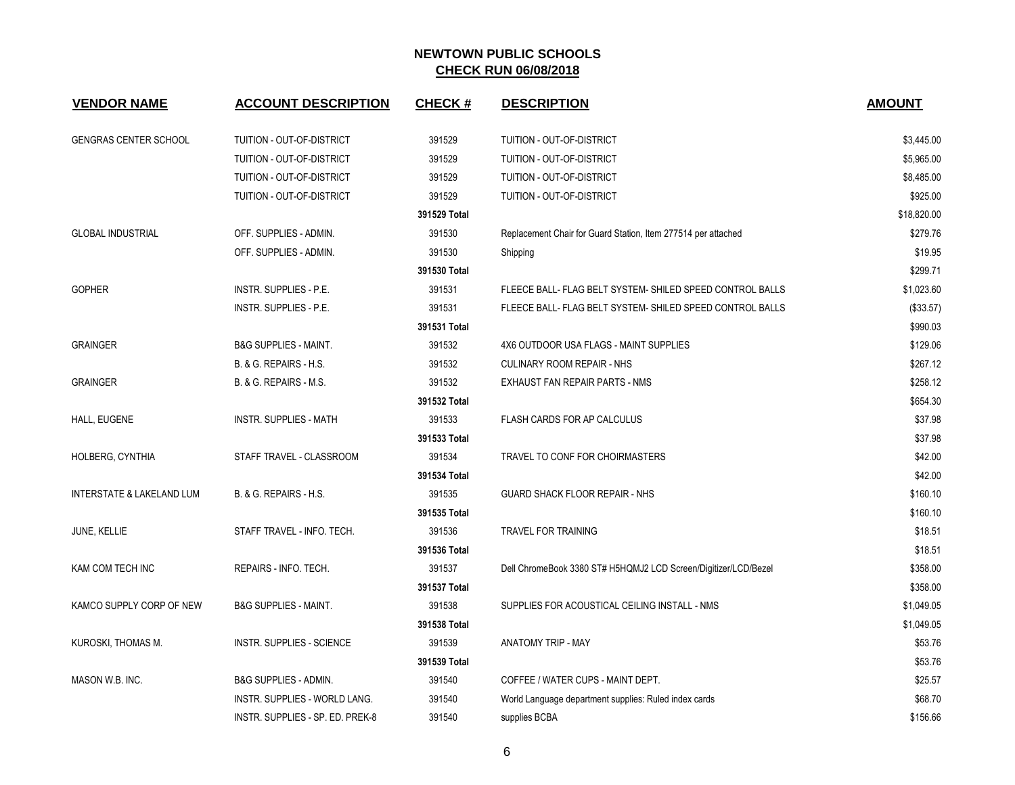| <b>VENDOR NAME</b>                   | <b>ACCOUNT DESCRIPTION</b>           | <b>CHECK#</b> | <b>DESCRIPTION</b>                                              | <b>AMOUNT</b> |
|--------------------------------------|--------------------------------------|---------------|-----------------------------------------------------------------|---------------|
| <b>GENGRAS CENTER SCHOOL</b>         | TUITION - OUT-OF-DISTRICT            | 391529        | TUITION - OUT-OF-DISTRICT                                       | \$3,445.00    |
|                                      | TUITION - OUT-OF-DISTRICT            | 391529        | TUITION - OUT-OF-DISTRICT                                       | \$5,965.00    |
|                                      | TUITION - OUT-OF-DISTRICT            | 391529        | TUITION - OUT-OF-DISTRICT                                       | \$8,485.00    |
|                                      | TUITION - OUT-OF-DISTRICT            | 391529        | TUITION - OUT-OF-DISTRICT                                       | \$925.00      |
|                                      |                                      | 391529 Total  |                                                                 | \$18,820.00   |
| <b>GLOBAL INDUSTRIAL</b>             | OFF. SUPPLIES - ADMIN.               | 391530        | Replacement Chair for Guard Station, Item 277514 per attached   | \$279.76      |
|                                      | OFF. SUPPLIES - ADMIN.               | 391530        | Shipping                                                        | \$19.95       |
|                                      |                                      | 391530 Total  |                                                                 | \$299.71      |
| <b>GOPHER</b>                        | <b>INSTR. SUPPLIES - P.E.</b>        | 391531        | FLEECE BALL- FLAG BELT SYSTEM- SHILED SPEED CONTROL BALLS       | \$1,023.60    |
|                                      | <b>INSTR. SUPPLIES - P.E.</b>        | 391531        | FLEECE BALL- FLAG BELT SYSTEM- SHILED SPEED CONTROL BALLS       | (\$33.57)     |
|                                      |                                      | 391531 Total  |                                                                 | \$990.03      |
| <b>GRAINGER</b>                      | <b>B&amp;G SUPPLIES - MAINT.</b>     | 391532        | 4X6 OUTDOOR USA FLAGS - MAINT SUPPLIES                          | \$129.06      |
|                                      | B. & G. REPAIRS - H.S.               | 391532        | <b>CULINARY ROOM REPAIR - NHS</b>                               | \$267.12      |
| <b>GRAINGER</b>                      | B. & G. REPAIRS - M.S.               | 391532        | EXHAUST FAN REPAIR PARTS - NMS                                  | \$258.12      |
|                                      |                                      | 391532 Total  |                                                                 | \$654.30      |
| HALL, EUGENE                         | <b>INSTR. SUPPLIES - MATH</b>        | 391533        | FLASH CARDS FOR AP CALCULUS                                     | \$37.98       |
|                                      |                                      | 391533 Total  |                                                                 | \$37.98       |
| HOLBERG, CYNTHIA                     | STAFF TRAVEL - CLASSROOM             | 391534        | TRAVEL TO CONF FOR CHOIRMASTERS                                 | \$42.00       |
|                                      |                                      | 391534 Total  |                                                                 | \$42.00       |
| <b>INTERSTATE &amp; LAKELAND LUM</b> | B. & G. REPAIRS - H.S.               | 391535        | GUARD SHACK FLOOR REPAIR - NHS                                  | \$160.10      |
|                                      |                                      | 391535 Total  |                                                                 | \$160.10      |
| JUNE, KELLIE                         | STAFF TRAVEL - INFO. TECH.           | 391536        | <b>TRAVEL FOR TRAINING</b>                                      | \$18.51       |
|                                      |                                      | 391536 Total  |                                                                 | \$18.51       |
| KAM COM TECH INC                     | REPAIRS - INFO. TECH.                | 391537        | Dell ChromeBook 3380 ST# H5HQMJ2 LCD Screen/Digitizer/LCD/Bezel | \$358.00      |
|                                      |                                      | 391537 Total  |                                                                 | \$358.00      |
| KAMCO SUPPLY CORP OF NEW             | <b>B&amp;G SUPPLIES - MAINT.</b>     | 391538        | SUPPLIES FOR ACOUSTICAL CEILING INSTALL - NMS                   | \$1,049.05    |
|                                      |                                      | 391538 Total  |                                                                 | \$1,049.05    |
| KUROSKI, THOMAS M.                   | <b>INSTR. SUPPLIES - SCIENCE</b>     | 391539        | <b>ANATOMY TRIP - MAY</b>                                       | \$53.76       |
|                                      |                                      | 391539 Total  |                                                                 | \$53.76       |
| MASON W.B. INC.                      | <b>B&amp;G SUPPLIES - ADMIN.</b>     | 391540        | COFFEE / WATER CUPS - MAINT DEPT.                               | \$25.57       |
|                                      | <b>INSTR. SUPPLIES - WORLD LANG.</b> | 391540        | World Language department supplies: Ruled index cards           | \$68.70       |
|                                      | INSTR. SUPPLIES - SP. ED. PREK-8     | 391540        | supplies BCBA                                                   | \$156.66      |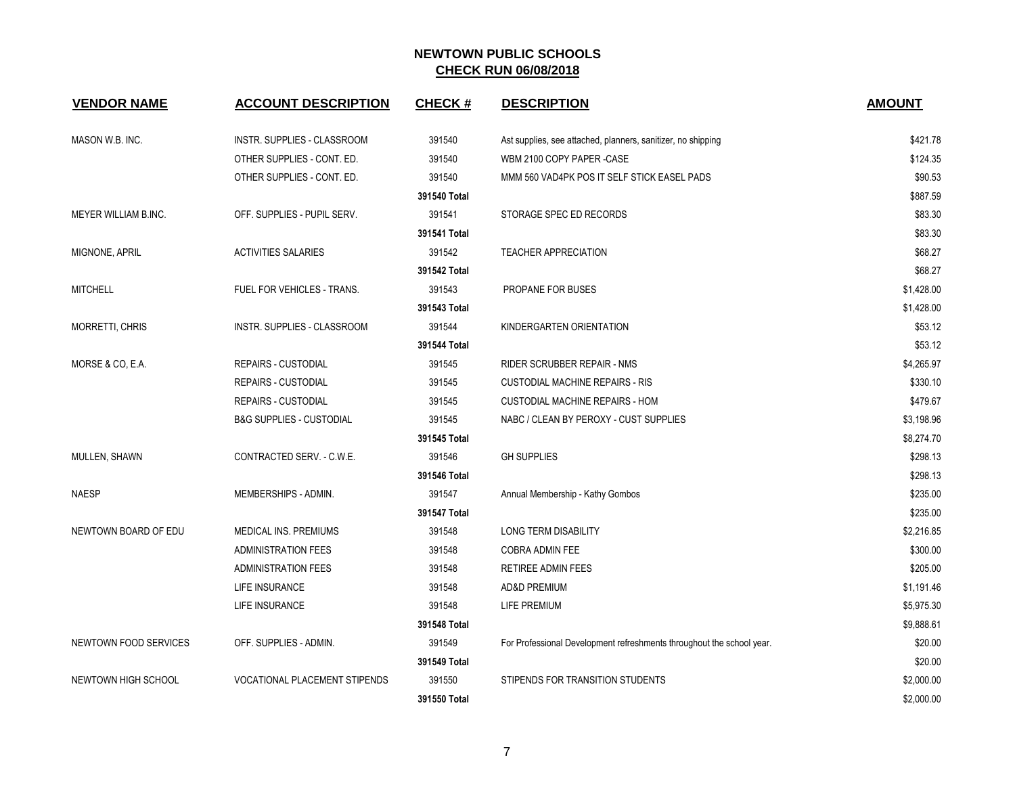| <b>VENDOR NAME</b>         | <b>ACCOUNT DESCRIPTION</b>           | <b>CHECK#</b> | <b>DESCRIPTION</b>                                                    | <b>AMOUNT</b> |
|----------------------------|--------------------------------------|---------------|-----------------------------------------------------------------------|---------------|
| MASON W.B. INC.            | INSTR. SUPPLIES - CLASSROOM          | 391540        | Ast supplies, see attached, planners, sanitizer, no shipping          | \$421.78      |
|                            | OTHER SUPPLIES - CONT. ED.           | 391540        | WBM 2100 COPY PAPER -CASE                                             | \$124.35      |
|                            | OTHER SUPPLIES - CONT. ED.           | 391540        | MMM 560 VAD4PK POS IT SELF STICK EASEL PADS                           | \$90.53       |
|                            |                                      | 391540 Total  |                                                                       | \$887.59      |
| MEYER WILLIAM B.INC.       | OFF. SUPPLIES - PUPIL SERV.          | 391541        | STORAGE SPEC ED RECORDS                                               | \$83.30       |
|                            |                                      | 391541 Total  |                                                                       | \$83.30       |
| MIGNONE, APRIL             | <b>ACTIVITIES SALARIES</b>           | 391542        | <b>TEACHER APPRECIATION</b>                                           | \$68.27       |
|                            |                                      | 391542 Total  |                                                                       | \$68.27       |
| <b>MITCHELL</b>            | FUEL FOR VEHICLES - TRANS.           | 391543        | PROPANE FOR BUSES                                                     | \$1,428.00    |
|                            |                                      | 391543 Total  |                                                                       | \$1,428.00    |
| <b>MORRETTI, CHRIS</b>     | INSTR. SUPPLIES - CLASSROOM          | 391544        | KINDERGARTEN ORIENTATION                                              | \$53.12       |
|                            |                                      | 391544 Total  |                                                                       | \$53.12       |
| MORSE & CO, E.A.           | <b>REPAIRS - CUSTODIAL</b>           | 391545        | RIDER SCRUBBER REPAIR - NMS                                           | \$4,265.97    |
|                            | <b>REPAIRS - CUSTODIAL</b>           | 391545        | <b>CUSTODIAL MACHINE REPAIRS - RIS</b>                                | \$330.10      |
|                            | <b>REPAIRS - CUSTODIAL</b>           | 391545        | <b>CUSTODIAL MACHINE REPAIRS - HOM</b>                                | \$479.67      |
|                            | <b>B&amp;G SUPPLIES - CUSTODIAL</b>  | 391545        | NABC / CLEAN BY PEROXY - CUST SUPPLIES                                | \$3,198.96    |
|                            |                                      | 391545 Total  |                                                                       | \$8,274.70    |
| MULLEN, SHAWN              | CONTRACTED SERV. - C.W.E.            | 391546        | <b>GH SUPPLIES</b>                                                    | \$298.13      |
|                            |                                      | 391546 Total  |                                                                       | \$298.13      |
| <b>NAESP</b>               | MEMBERSHIPS - ADMIN.                 | 391547        | Annual Membership - Kathy Gombos                                      | \$235.00      |
|                            |                                      | 391547 Total  |                                                                       | \$235.00      |
| NEWTOWN BOARD OF EDU       | <b>MEDICAL INS. PREMIUMS</b>         | 391548        | <b>LONG TERM DISABILITY</b>                                           | \$2,216.85    |
|                            | <b>ADMINISTRATION FEES</b>           | 391548        | <b>COBRA ADMIN FEE</b>                                                | \$300.00      |
|                            | <b>ADMINISTRATION FEES</b>           | 391548        | RETIREE ADMIN FEES                                                    | \$205.00      |
|                            | LIFE INSURANCE                       | 391548        | AD&D PREMIUM                                                          | \$1,191.46    |
|                            | LIFE INSURANCE                       | 391548        | LIFE PREMIUM                                                          | \$5,975.30    |
|                            |                                      | 391548 Total  |                                                                       | \$9,888.61    |
| NEWTOWN FOOD SERVICES      | OFF. SUPPLIES - ADMIN.               | 391549        | For Professional Development refreshments throughout the school year. | \$20.00       |
|                            |                                      | 391549 Total  |                                                                       | \$20.00       |
| <b>NEWTOWN HIGH SCHOOL</b> | <b>VOCATIONAL PLACEMENT STIPENDS</b> | 391550        | STIPENDS FOR TRANSITION STUDENTS                                      | \$2,000.00    |
|                            |                                      | 391550 Total  |                                                                       | \$2,000.00    |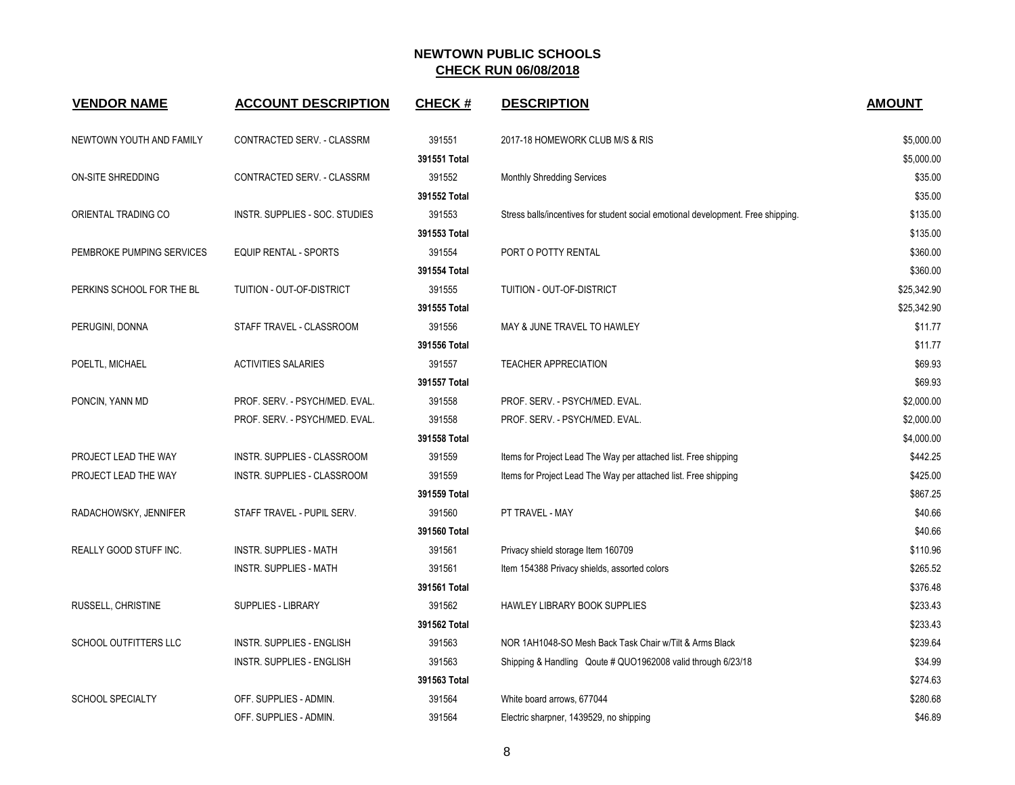| <b>VENDOR NAME</b>        | <b>ACCOUNT DESCRIPTION</b>       | <b>CHECK#</b> | <b>DESCRIPTION</b>                                                               | <b>AMOUNT</b> |
|---------------------------|----------------------------------|---------------|----------------------------------------------------------------------------------|---------------|
| NEWTOWN YOUTH AND FAMILY  | CONTRACTED SERV. - CLASSRM       | 391551        | 2017-18 HOMEWORK CLUB M/S & RIS                                                  | \$5,000.00    |
|                           |                                  | 391551 Total  |                                                                                  | \$5,000.00    |
| ON-SITE SHREDDING         | CONTRACTED SERV. - CLASSRM       | 391552        | Monthly Shredding Services                                                       | \$35.00       |
|                           |                                  | 391552 Total  |                                                                                  | \$35.00       |
| ORIENTAL TRADING CO       | INSTR. SUPPLIES - SOC. STUDIES   | 391553        | Stress balls/incentives for student social emotional development. Free shipping. | \$135.00      |
|                           |                                  | 391553 Total  |                                                                                  | \$135.00      |
| PEMBROKE PUMPING SERVICES | EQUIP RENTAL - SPORTS            | 391554        | PORT O POTTY RENTAL                                                              | \$360.00      |
|                           |                                  | 391554 Total  |                                                                                  | \$360.00      |
| PERKINS SCHOOL FOR THE BL | TUITION - OUT-OF-DISTRICT        | 391555        | TUITION - OUT-OF-DISTRICT                                                        | \$25,342.90   |
|                           |                                  | 391555 Total  |                                                                                  | \$25,342.90   |
| PERUGINI, DONNA           | STAFF TRAVEL - CLASSROOM         | 391556        | MAY & JUNE TRAVEL TO HAWLEY                                                      | \$11.77       |
|                           |                                  | 391556 Total  |                                                                                  | \$11.77       |
| POELTL, MICHAEL           | <b>ACTIVITIES SALARIES</b>       | 391557        | <b>TEACHER APPRECIATION</b>                                                      | \$69.93       |
|                           |                                  | 391557 Total  |                                                                                  | \$69.93       |
| PONCIN, YANN MD           | PROF. SERV. - PSYCH/MED. EVAL.   | 391558        | PROF. SERV. - PSYCH/MED. EVAL.                                                   | \$2,000.00    |
|                           | PROF. SERV. - PSYCH/MED. EVAL.   | 391558        | PROF. SERV. - PSYCH/MED. EVAL.                                                   | \$2,000.00    |
|                           |                                  | 391558 Total  |                                                                                  | \$4,000.00    |
| PROJECT LEAD THE WAY      | INSTR. SUPPLIES - CLASSROOM      | 391559        | Items for Project Lead The Way per attached list. Free shipping                  | \$442.25      |
| PROJECT LEAD THE WAY      | INSTR. SUPPLIES - CLASSROOM      | 391559        | Items for Project Lead The Way per attached list. Free shipping                  | \$425.00      |
|                           |                                  | 391559 Total  |                                                                                  | \$867.25      |
| RADACHOWSKY, JENNIFER     | STAFF TRAVEL - PUPIL SERV.       | 391560        | PT TRAVEL - MAY                                                                  | \$40.66       |
|                           |                                  | 391560 Total  |                                                                                  | \$40.66       |
| REALLY GOOD STUFF INC.    | <b>INSTR. SUPPLIES - MATH</b>    | 391561        | Privacy shield storage Item 160709                                               | \$110.96      |
|                           | <b>INSTR. SUPPLIES - MATH</b>    | 391561        | Item 154388 Privacy shields, assorted colors                                     | \$265.52      |
|                           |                                  | 391561 Total  |                                                                                  | \$376.48      |
| RUSSELL, CHRISTINE        | SUPPLIES - LIBRARY               | 391562        | HAWLEY LIBRARY BOOK SUPPLIES                                                     | \$233.43      |
|                           |                                  | 391562 Total  |                                                                                  | \$233.43      |
| SCHOOL OUTFITTERS LLC     | INSTR. SUPPLIES - ENGLISH        | 391563        | NOR 1AH1048-SO Mesh Back Task Chair w/Tilt & Arms Black                          | \$239.64      |
|                           | <b>INSTR. SUPPLIES - ENGLISH</b> | 391563        | Shipping & Handling Qoute # QUO1962008 valid through 6/23/18                     | \$34.99       |
|                           |                                  | 391563 Total  |                                                                                  | \$274.63      |
| <b>SCHOOL SPECIALTY</b>   | OFF. SUPPLIES - ADMIN.           | 391564        | White board arrows, 677044                                                       | \$280.68      |
|                           | OFF. SUPPLIES - ADMIN.           | 391564        | Electric sharpner, 1439529, no shipping                                          | \$46.89       |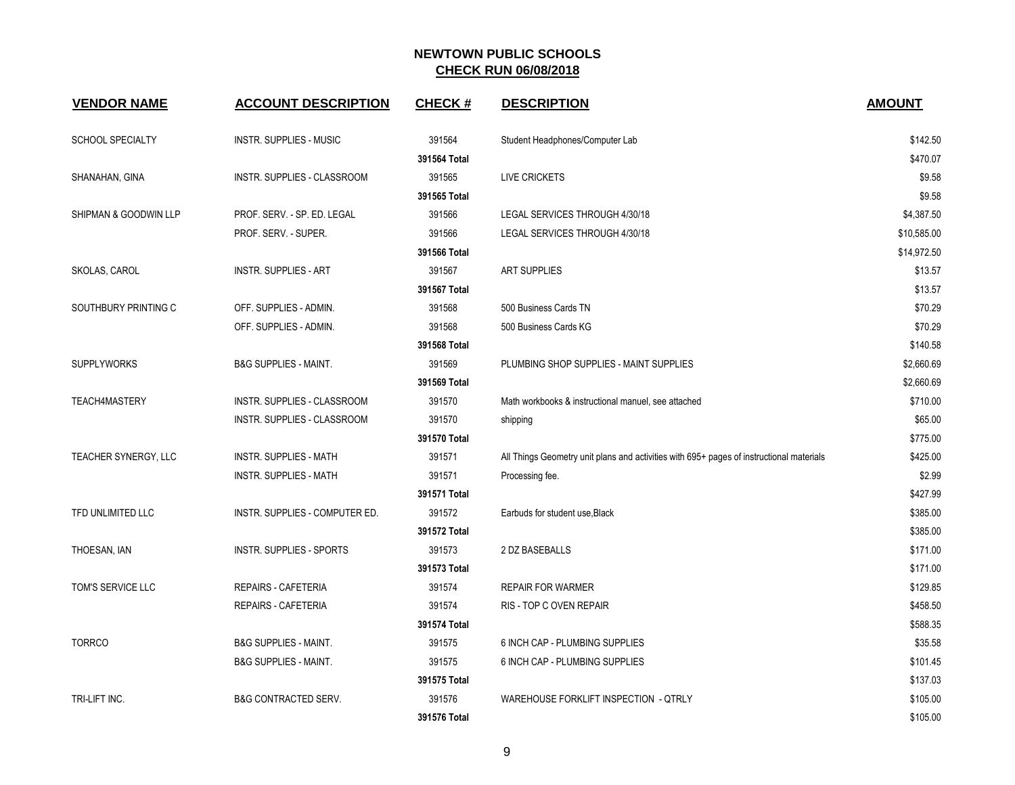| <b>VENDOR NAME</b>      | <b>ACCOUNT DESCRIPTION</b>       | <b>CHECK#</b> | <b>DESCRIPTION</b>                                                                       | <b>AMOUNT</b> |
|-------------------------|----------------------------------|---------------|------------------------------------------------------------------------------------------|---------------|
| <b>SCHOOL SPECIALTY</b> | <b>INSTR. SUPPLIES - MUSIC</b>   | 391564        | Student Headphones/Computer Lab                                                          | \$142.50      |
|                         |                                  | 391564 Total  |                                                                                          | \$470.07      |
| SHANAHAN, GINA          | INSTR. SUPPLIES - CLASSROOM      | 391565        | <b>LIVE CRICKETS</b>                                                                     | \$9.58        |
|                         |                                  | 391565 Total  |                                                                                          | \$9.58        |
| SHIPMAN & GOODWIN LLP   | PROF. SERV. - SP. ED. LEGAL      | 391566        | LEGAL SERVICES THROUGH 4/30/18                                                           | \$4,387.50    |
|                         | PROF. SERV. - SUPER.             | 391566        | LEGAL SERVICES THROUGH 4/30/18                                                           | \$10,585.00   |
|                         |                                  | 391566 Total  |                                                                                          | \$14,972.50   |
| SKOLAS, CAROL           | <b>INSTR. SUPPLIES - ART</b>     | 391567        | <b>ART SUPPLIES</b>                                                                      | \$13.57       |
|                         |                                  | 391567 Total  |                                                                                          | \$13.57       |
| SOUTHBURY PRINTING C    | OFF. SUPPLIES - ADMIN.           | 391568        | 500 Business Cards TN                                                                    | \$70.29       |
|                         | OFF. SUPPLIES - ADMIN.           | 391568        | 500 Business Cards KG                                                                    | \$70.29       |
|                         |                                  | 391568 Total  |                                                                                          | \$140.58      |
| <b>SUPPLYWORKS</b>      | <b>B&amp;G SUPPLIES - MAINT.</b> | 391569        | PLUMBING SHOP SUPPLIES - MAINT SUPPLIES                                                  | \$2,660.69    |
|                         |                                  | 391569 Total  |                                                                                          | \$2,660.69    |
| TEACH4MASTERY           | INSTR. SUPPLIES - CLASSROOM      | 391570        | Math workbooks & instructional manuel, see attached                                      | \$710.00      |
|                         | INSTR. SUPPLIES - CLASSROOM      | 391570        | shipping                                                                                 | \$65.00       |
|                         |                                  | 391570 Total  |                                                                                          | \$775.00      |
| TEACHER SYNERGY, LLC    | <b>INSTR. SUPPLIES - MATH</b>    | 391571        | All Things Geometry unit plans and activities with 695+ pages of instructional materials | \$425.00      |
|                         | <b>INSTR. SUPPLIES - MATH</b>    | 391571        | Processing fee.                                                                          | \$2.99        |
|                         |                                  | 391571 Total  |                                                                                          | \$427.99      |
| TFD UNLIMITED LLC       | INSTR. SUPPLIES - COMPUTER ED.   | 391572        | Earbuds for student use, Black                                                           | \$385.00      |
|                         |                                  | 391572 Total  |                                                                                          | \$385.00      |
| THOESAN, IAN            | <b>INSTR. SUPPLIES - SPORTS</b>  | 391573        | 2 DZ BASEBALLS                                                                           | \$171.00      |
|                         |                                  | 391573 Total  |                                                                                          | \$171.00      |
| TOM'S SERVICE LLC       | <b>REPAIRS - CAFETERIA</b>       | 391574        | <b>REPAIR FOR WARMER</b>                                                                 | \$129.85      |
|                         | REPAIRS - CAFETERIA              | 391574        | RIS - TOP C OVEN REPAIR                                                                  | \$458.50      |
|                         |                                  | 391574 Total  |                                                                                          | \$588.35      |
| <b>TORRCO</b>           | <b>B&amp;G SUPPLIES - MAINT.</b> | 391575        | 6 INCH CAP - PLUMBING SUPPLIES                                                           | \$35.58       |
|                         | <b>B&amp;G SUPPLIES - MAINT.</b> | 391575        | 6 INCH CAP - PLUMBING SUPPLIES                                                           | \$101.45      |
|                         |                                  | 391575 Total  |                                                                                          | \$137.03      |
| TRI-LIFT INC.           | <b>B&amp;G CONTRACTED SERV.</b>  | 391576        | WAREHOUSE FORKLIFT INSPECTION - QTRLY                                                    | \$105.00      |
|                         |                                  | 391576 Total  |                                                                                          | \$105.00      |